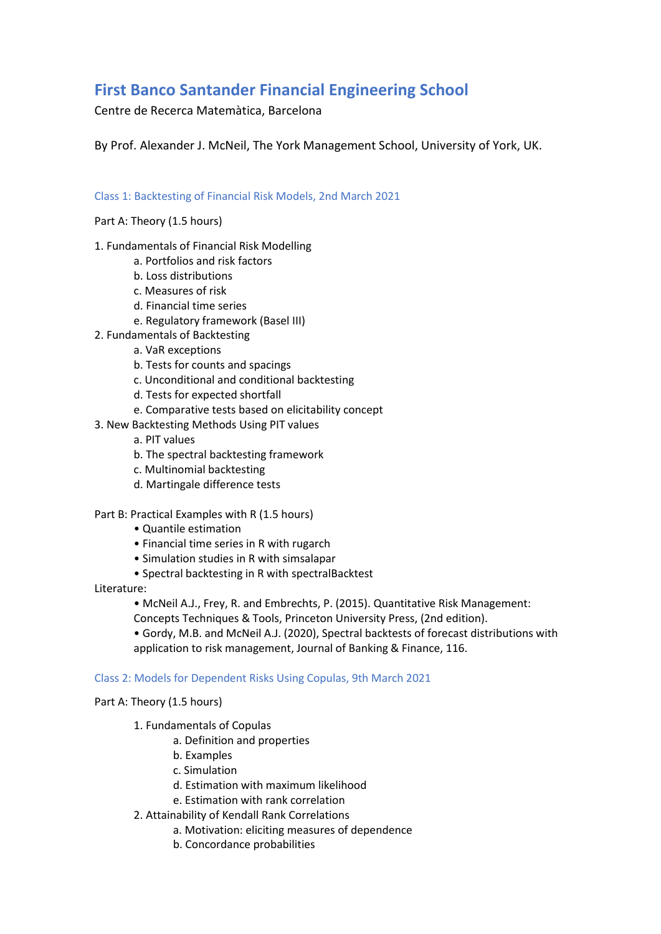# **First Banco Santander Financial Engineering School**

Centre de Recerca Matemàtica, Barcelona

By Prof. Alexander J. McNeil, The York Management School, University of York, UK.

## Class 1: Backtesting of Financial Risk Models, 2nd March 2021

## Part A: Theory (1.5 hours)

- 1. Fundamentals of Financial Risk Modelling
	- a. Portfolios and risk factors
	- b. Loss distributions
	- c. Measures of risk
	- d. Financial time series
	- e. Regulatory framework (Basel III)
- 2. Fundamentals of Backtesting
	- a. VaR exceptions
	- b. Tests for counts and spacings
	- c. Unconditional and conditional backtesting
	- d. Tests for expected shortfall
	- e. Comparative tests based on elicitability concept
- 3. New Backtesting Methods Using PIT values
	- a. PIT values
	- b. The spectral backtesting framework
	- c. Multinomial backtesting
	- d. Martingale difference tests

### Part B: Practical Examples with R (1.5 hours)

- Quantile estimation
- Financial time series in R with rugarch
- Simulation studies in R with simsalapar
- Spectral backtesting in R with spectralBacktest

### Literature:

• McNeil A.J., Frey, R. and Embrechts, P. (2015). Quantitative Risk Management:

Concepts Techniques & Tools, Princeton University Press, (2nd edition).

• Gordy, M.B. and McNeil A.J. (2020), Spectral backtests of forecast distributions with application to risk management, Journal of Banking & Finance, 116.

### Class 2: Models for Dependent Risks Using Copulas, 9th March 2021

### Part A: Theory (1.5 hours)

- 1. Fundamentals of Copulas
	- a. Definition and properties
	- b. Examples
	- c. Simulation
	- d. Estimation with maximum likelihood
	- e. Estimation with rank correlation
- 2. Attainability of Kendall Rank Correlations
	- a. Motivation: eliciting measures of dependence
	- b. Concordance probabilities